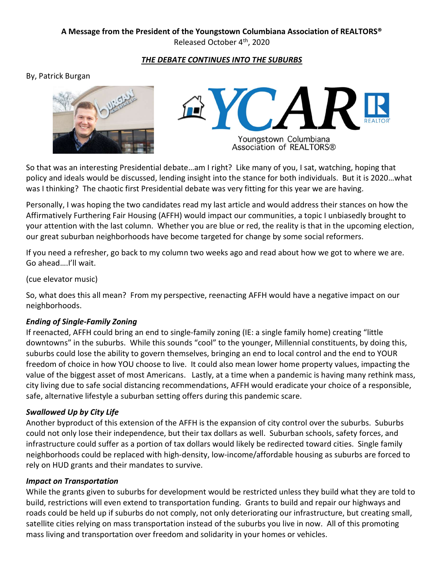# **A Message from the President of the Youngstown Columbiana Association of REALTORS®**

Released October 4th, 2020

## *THE DEBATE CONTINUES INTO THE SUBURBS*

#### By, Patrick Burgan





Association of REALTORS®

So that was an interesting Presidential debate…am I right? Like many of you, I sat, watching, hoping that policy and ideals would be discussed, lending insight into the stance for both individuals. But it is 2020…what was I thinking? The chaotic first Presidential debate was very fitting for this year we are having.

Personally, I was hoping the two candidates read my last article and would address their stances on how the Affirmatively Furthering Fair Housing (AFFH) would impact our communities, a topic I unbiasedly brought to your attention with the last column. Whether you are blue or red, the reality is that in the upcoming election, our great suburban neighborhoods have become targeted for change by some social reformers.

If you need a refresher, go back to my column two weeks ago and read about how we got to where we are. Go ahead….I'll wait.

## (cue elevator music)

So, what does this all mean? From my perspective, reenacting AFFH would have a negative impact on our neighborhoods.

## *Ending of Single-Family Zoning*

If reenacted, AFFH could bring an end to single-family zoning (IE: a single family home) creating "little downtowns" in the suburbs. While this sounds "cool" to the younger, Millennial constituents, by doing this, suburbs could lose the ability to govern themselves, bringing an end to local control and the end to YOUR freedom of choice in how YOU choose to live. It could also mean lower home property values, impacting the value of the biggest asset of most Americans. Lastly, at a time when a pandemic is having many rethink mass, city living due to safe social distancing recommendations, AFFH would eradicate your choice of a responsible, safe, alternative lifestyle a suburban setting offers during this pandemic scare.

## *Swallowed Up by City Life*

Another byproduct of this extension of the AFFH is the expansion of city control over the suburbs. Suburbs could not only lose their independence, but their tax dollars as well. Suburban schools, safety forces, and infrastructure could suffer as a portion of tax dollars would likely be redirected toward cities. Single family neighborhoods could be replaced with high-density, low-income/affordable housing as suburbs are forced to rely on HUD grants and their mandates to survive.

#### *Impact on Transportation*

While the grants given to suburbs for development would be restricted unless they build what they are told to build, restrictions will even extend to transportation funding. Grants to build and repair our highways and roads could be held up if suburbs do not comply, not only deteriorating our infrastructure, but creating small, satellite cities relying on mass transportation instead of the suburbs you live in now. All of this promoting mass living and transportation over freedom and solidarity in your homes or vehicles.